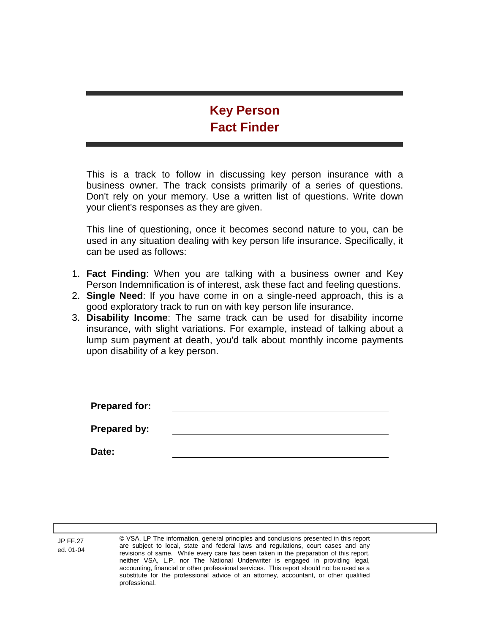## **Key Person Fact Finder**

This is a track to follow in discussing key person insurance with a business owner. The track consists primarily of a series of questions. Don't rely on your memory. Use a written list of questions. Write down your client's responses as they are given.

This line of questioning, once it becomes second nature to you, can be used in any situation dealing with key person life insurance. Specifically, it can be used as follows:

- 1. **Fact Finding**: When you are talking with a business owner and Key Person Indemnification is of interest, ask these fact and feeling questions.
- 2. **Single Need**: If you have come in on a single-need approach, this is a good exploratory track to run on with key person life insurance.
- 3. **Disability Income**: The same track can be used for disability income insurance, with slight variations. For example, instead of talking about a lump sum payment at death, you'd talk about monthly income payments upon disability of a key person.

| <b>Prepared for:</b> |  |
|----------------------|--|
| Prepared by:         |  |
| Date:                |  |

© VSA, LP The information, general principles and conclusions presented in this report are subject to local, state and federal laws and regulations, court cases and any revisions of same. While every care has been taken in the preparation of this report, neither VSA, L.P. nor The National Underwriter is engaged in providing legal, accounting, financial or other professional services. This report should not be used as a substitute for the professional advice of an attorney, accountant, or other qualified professional.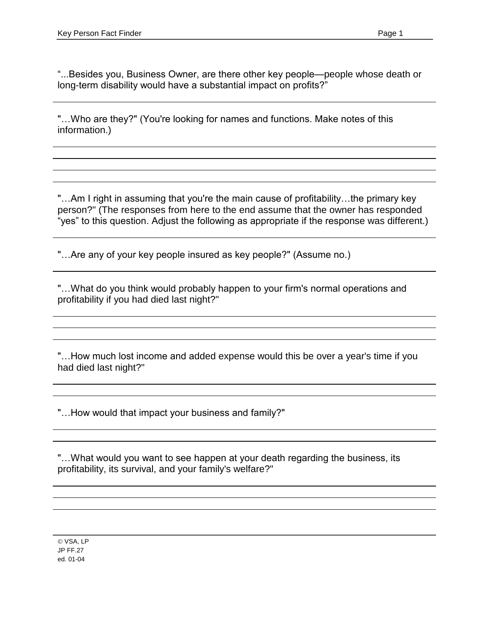"...Besides you, Business Owner, are there other key people—people whose death or long-term disability would have a substantial impact on profits?"

"...Who are they?" (You're looking for names and functions. Make notes of this information.)

"...Am I right in assuming that you're the main cause of profitability...the primary key person?" (The responses from here to the end assume that the owner has responded "yes" to this question. Adjust the following as appropriate if the response was different.)

"...Are any of your key people insured as key people?" (Assume no.)

"...What do you think would probably happen to your firm's normal operations and profitability if you had died last night?"

"...How much lost income and added expense would this be over a year's time if you had died last night?"

"...How would that impact your business and family?"

"... What would you want to see happen at your death regarding the business, its profitability, its survival, and your family's welfare?"

© VSA, LP JP FF.27 ed. 01-04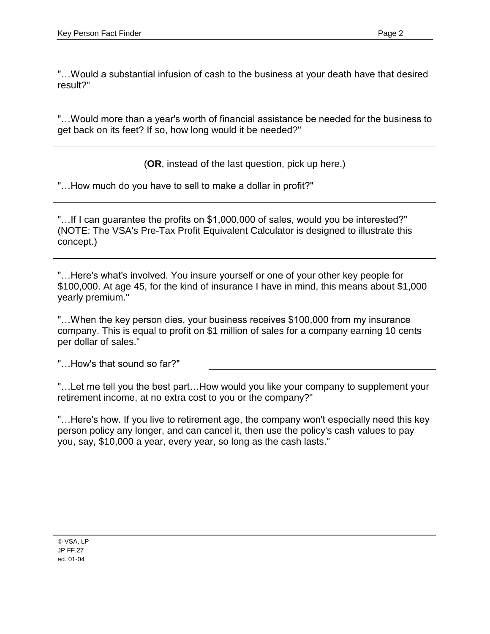"... Would a substantial infusion of cash to the business at your death have that desired result?"

"... Would more than a year's worth of financial assistance be needed for the business to get back on its feet? If so, how long would it be needed?"

(**OR**, instead of the last question, pick up here.)

"... How much do you have to sell to make a dollar in profit?"

"...If I can guarantee the profits on \$1,000,000 of sales, would you be interested?" (NOTE: The VSA's Pre-Tax Profit Equivalent Calculator is designed to illustrate this concept.)

"...Here's what's involved. You insure yourself or one of your other key people for \$100,000. At age 45, for the kind of insurance I have in mind, this means about \$1,000 yearly premium."

"...When the key person dies, your business receives \$100,000 from my insurance company. This is equal to profit on \$1 million of sales for a company earning 10 cents per dollar of sales."

"...How's that sound so far?"

"...Let me tell you the best part...How would you like your company to supplement your retirement income, at no extra cost to you or the company?"

"...Here's how. If you live to retirement age, the company won't especially need this key person policy any longer, and can cancel it, then use the policy's cash values to pay you, say, \$10,000 a year, every year, so long as the cash lasts."